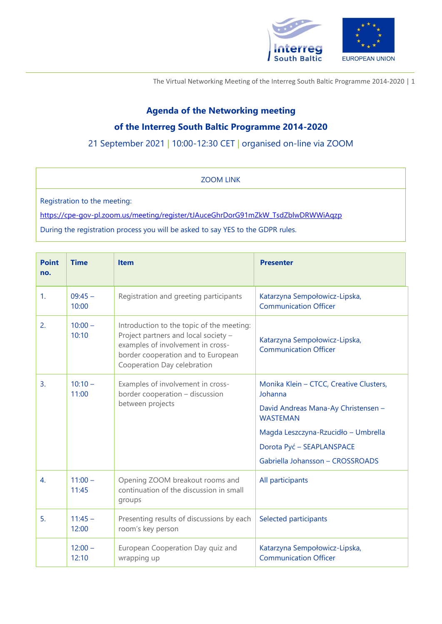

The Virtual Networking Meeting of the Interreg South Baltic Programme 2014-2020 | 1

## **Agenda of the Networking meeting of the Interreg South Baltic Programme 2014-2020**

21 September 2021 | 10:00-12:30 CET | organised on-line via ZOOM

ZOOM LINK

Registration to the meeting:

[https://cpe-gov-pl.zoom.us/meeting/register/tJAuceGhrDorG91mZkW\\_TsdZblwDRWWiAqzp](https://cpe-gov-pl.zoom.us/meeting/register/tJAuceGhrDorG91mZkW_TsdZblwDRWWiAqzp)

During the registration process you will be asked to say YES to the GDPR rules.

| <b>Point</b><br>no. | <b>Time</b>        | <b>Item</b>                                                                                                                                                                                 | <b>Presenter</b>                                                                                                                                                                                                     |
|---------------------|--------------------|---------------------------------------------------------------------------------------------------------------------------------------------------------------------------------------------|----------------------------------------------------------------------------------------------------------------------------------------------------------------------------------------------------------------------|
| 1.                  | $09:45 -$<br>10:00 | Registration and greeting participants                                                                                                                                                      | Katarzyna Sempołowicz-Lipska,<br><b>Communication Officer</b>                                                                                                                                                        |
| 2.                  | $10:00 -$<br>10:10 | Introduction to the topic of the meeting:<br>Project partners and local society -<br>examples of involvement in cross-<br>border cooperation and to European<br>Cooperation Day celebration | Katarzyna Sempołowicz-Lipska,<br><b>Communication Officer</b>                                                                                                                                                        |
| 3.                  | $10:10 -$<br>11:00 | Examples of involvement in cross-<br>border cooperation - discussion<br>between projects                                                                                                    | Monika Klein - CTCC, Creative Clusters,<br>Johanna<br>David Andreas Mana-Ay Christensen -<br><b>WASTEMAN</b><br>Magda Leszczyna-Rzucidło – Umbrella<br>Dorota Pyć - SEAPLANSPACE<br>Gabriella Johansson - CROSSROADS |
| 4.                  | $11:00 -$<br>11:45 | Opening ZOOM breakout rooms and<br>continuation of the discussion in small<br>groups                                                                                                        | All participants                                                                                                                                                                                                     |
| 5.                  | $11:45 -$<br>12:00 | Presenting results of discussions by each<br>room's key person                                                                                                                              | Selected participants                                                                                                                                                                                                |
|                     | $12:00 -$<br>12:10 | European Cooperation Day quiz and<br>wrapping up                                                                                                                                            | Katarzyna Sempołowicz-Lipska,<br><b>Communication Officer</b>                                                                                                                                                        |